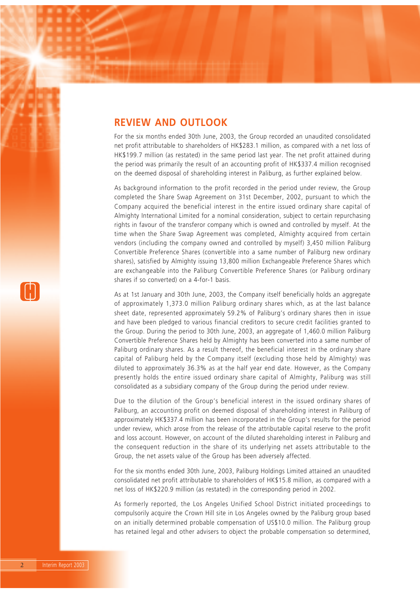### **REVIEW AND OUTLOOK**

For the six months ended 30th June, 2003, the Group recorded an unaudited consolidated net profit attributable to shareholders of HK\$283.1 million, as compared with a net loss of HK\$199.7 million (as restated) in the same period last year. The net profit attained during the period was primarily the result of an accounting profit of HK\$337.4 million recognised on the deemed disposal of shareholding interest in Paliburg, as further explained below.

As background information to the profit recorded in the period under review, the Group completed the Share Swap Agreement on 31st December, 2002, pursuant to which the Company acquired the beneficial interest in the entire issued ordinary share capital of Almighty International Limited for a nominal consideration, subject to certain repurchasing rights in favour of the transferor company which is owned and controlled by myself. At the time when the Share Swap Agreement was completed, Almighty acquired from certain vendors (including the company owned and controlled by myself) 3,450 million Paliburg Convertible Preference Shares (convertible into a same number of Paliburg new ordinary shares), satisfied by Almighty issuing 13,800 million Exchangeable Preference Shares which are exchangeable into the Paliburg Convertible Preference Shares (or Paliburg ordinary shares if so converted) on a 4-for-1 basis.

As at 1st January and 30th June, 2003, the Company itself beneficially holds an aggregate of approximately 1,373.0 million Paliburg ordinary shares which, as at the last balance sheet date, represented approximately 59.2% of Paliburg's ordinary shares then in issue and have been pledged to various financial creditors to secure credit facilities granted to the Group. During the period to 30th June, 2003, an aggregate of 1,460.0 million Paliburg Convertible Preference Shares held by Almighty has been converted into a same number of Paliburg ordinary shares. As a result thereof, the beneficial interest in the ordinary share capital of Paliburg held by the Company itself (excluding those held by Almighty) was diluted to approximately 36.3% as at the half year end date. However, as the Company presently holds the entire issued ordinary share capital of Almighty, Paliburg was still consolidated as a subsidiary company of the Group during the period under review.

Due to the dilution of the Group's beneficial interest in the issued ordinary shares of Paliburg, an accounting profit on deemed disposal of shareholding interest in Paliburg of approximately HK\$337.4 million has been incorporated in the Group's results for the period under review, which arose from the release of the attributable capital reserve to the profit and loss account. However, on account of the diluted shareholding interest in Paliburg and the consequent reduction in the share of its underlying net assets attributable to the Group, the net assets value of the Group has been adversely affected.

For the six months ended 30th June, 2003, Paliburg Holdings Limited attained an unaudited consolidated net profit attributable to shareholders of HK\$15.8 million, as compared with a net loss of HK\$220.9 million (as restated) in the corresponding period in 2002.

As formerly reported, the Los Angeles Unified School District initiated proceedings to compulsorily acquire the Crown Hill site in Los Angeles owned by the Paliburg group based on an initially determined probable compensation of US\$10.0 million. The Paliburg group has retained legal and other advisers to object the probable compensation so determined,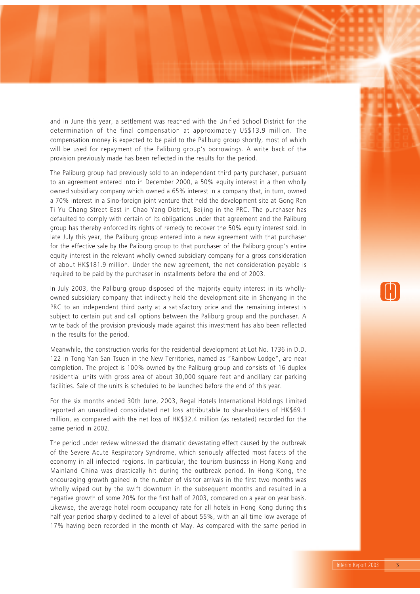and in June this year, a settlement was reached with the Unified School District for the determination of the final compensation at approximately US\$13.9 million. The compensation money is expected to be paid to the Paliburg group shortly, most of which will be used for repayment of the Paliburg group's borrowings. A write back of the provision previously made has been reflected in the results for the period.

The Paliburg group had previously sold to an independent third party purchaser, pursuant to an agreement entered into in December 2000, a 50% equity interest in a then wholly owned subsidiary company which owned a 65% interest in a company that, in turn, owned a 70% interest in a Sino-foreign joint venture that held the development site at Gong Ren Ti Yu Chang Street East in Chao Yang District, Beijing in the PRC. The purchaser has defaulted to comply with certain of its obligations under that agreement and the Paliburg group has thereby enforced its rights of remedy to recover the 50% equity interest sold. In late July this year, the Paliburg group entered into a new agreement with that purchaser for the effective sale by the Paliburg group to that purchaser of the Paliburg group's entire equity interest in the relevant wholly owned subsidiary company for a gross consideration of about HK\$181.9 million. Under the new agreement, the net consideration payable is required to be paid by the purchaser in installments before the end of 2003.

In July 2003, the Paliburg group disposed of the majority equity interest in its whollyowned subsidiary company that indirectly held the development site in Shenyang in the PRC to an independent third party at a satisfactory price and the remaining interest is subject to certain put and call options between the Paliburg group and the purchaser. A write back of the provision previously made against this investment has also been reflected in the results for the period.

Meanwhile, the construction works for the residential development at Lot No. 1736 in D.D. 122 in Tong Yan San Tsuen in the New Territories, named as "Rainbow Lodge", are near completion. The project is 100% owned by the Paliburg group and consists of 16 duplex residential units with gross area of about 30,000 square feet and ancillary car parking facilities. Sale of the units is scheduled to be launched before the end of this year.

For the six months ended 30th June, 2003, Regal Hotels International Holdings Limited reported an unaudited consolidated net loss attributable to shareholders of HK\$69.1 million, as compared with the net loss of HK\$32.4 million (as restated) recorded for the same period in 2002.

The period under review witnessed the dramatic devastating effect caused by the outbreak of the Severe Acute Respiratory Syndrome, which seriously affected most facets of the economy in all infected regions. In particular, the tourism business in Hong Kong and Mainland China was drastically hit during the outbreak period. In Hong Kong, the encouraging growth gained in the number of visitor arrivals in the first two months was wholly wiped out by the swift downturn in the subsequent months and resulted in a negative growth of some 20% for the first half of 2003, compared on a year on year basis. Likewise, the average hotel room occupancy rate for all hotels in Hong Kong during this half year period sharply declined to a level of about 55%, with an all time low average of 17% having been recorded in the month of May. As compared with the same period in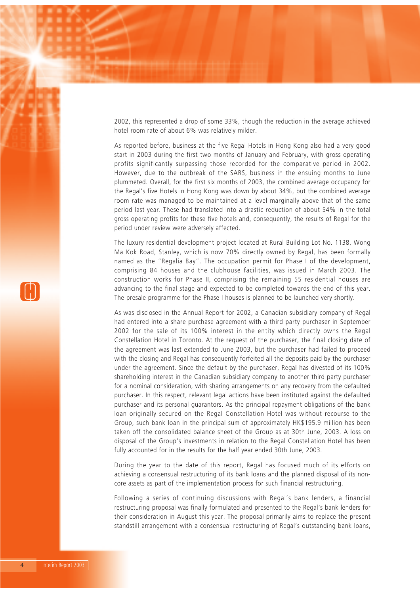2002, this represented a drop of some 33%, though the reduction in the average achieved hotel room rate of about 6% was relatively milder.

As reported before, business at the five Regal Hotels in Hong Kong also had a very good start in 2003 during the first two months of January and February, with gross operating profits significantly surpassing those recorded for the comparative period in 2002. However, due to the outbreak of the SARS, business in the ensuing months to June plummeted. Overall, for the first six months of 2003, the combined average occupancy for the Regal's five Hotels in Hong Kong was down by about 34%, but the combined average room rate was managed to be maintained at a level marginally above that of the same period last year. These had translated into a drastic reduction of about 54% in the total gross operating profits for these five hotels and, consequently, the results of Regal for the period under review were adversely affected.

The luxury residential development project located at Rural Building Lot No. 1138, Wong Ma Kok Road, Stanley, which is now 70% directly owned by Regal, has been formally named as the "Regalia Bay". The occupation permit for Phase I of the development, comprising 84 houses and the clubhouse facilities, was issued in March 2003. The construction works for Phase II, comprising the remaining 55 residential houses are advancing to the final stage and expected to be completed towards the end of this year. The presale programme for the Phase I houses is planned to be launched very shortly.

As was disclosed in the Annual Report for 2002, a Canadian subsidiary company of Regal had entered into a share purchase agreement with a third party purchaser in September 2002 for the sale of its 100% interest in the entity which directly owns the Regal Constellation Hotel in Toronto. At the request of the purchaser, the final closing date of the agreement was last extended to June 2003, but the purchaser had failed to proceed with the closing and Regal has consequently forfeited all the deposits paid by the purchaser under the agreement. Since the default by the purchaser, Regal has divested of its 100% shareholding interest in the Canadian subsidiary company to another third party purchaser for a nominal consideration, with sharing arrangements on any recovery from the defaulted purchaser. In this respect, relevant legal actions have been instituted against the defaulted purchaser and its personal guarantors. As the principal repayment obligations of the bank loan originally secured on the Regal Constellation Hotel was without recourse to the Group, such bank loan in the principal sum of approximately HK\$195.9 million has been taken off the consolidated balance sheet of the Group as at 30th June, 2003. A loss on disposal of the Group's investments in relation to the Regal Constellation Hotel has been fully accounted for in the results for the half year ended 30th June, 2003.

During the year to the date of this report, Regal has focused much of its efforts on achieving a consensual restructuring of its bank loans and the planned disposal of its noncore assets as part of the implementation process for such financial restructuring.

Following a series of continuing discussions with Regal's bank lenders, a financial restructuring proposal was finally formulated and presented to the Regal's bank lenders for their consideration in August this year. The proposal primarily aims to replace the present standstill arrangement with a consensual restructuring of Regal's outstanding bank loans,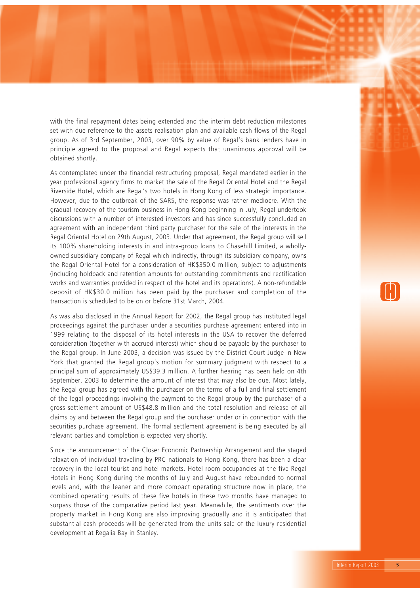with the final repayment dates being extended and the interim debt reduction milestones set with due reference to the assets realisation plan and available cash flows of the Regal group. As of 3rd September, 2003, over 90% by value of Regal's bank lenders have in principle agreed to the proposal and Regal expects that unanimous approval will be obtained shortly.

As contemplated under the financial restructuring proposal, Regal mandated earlier in the year professional agency firms to market the sale of the Regal Oriental Hotel and the Regal Riverside Hotel, which are Regal's two hotels in Hong Kong of less strategic importance. However, due to the outbreak of the SARS, the response was rather mediocre. With the gradual recovery of the tourism business in Hong Kong beginning in July, Regal undertook discussions with a number of interested investors and has since successfully concluded an agreement with an independent third party purchaser for the sale of the interests in the Regal Oriental Hotel on 29th August, 2003. Under that agreement, the Regal group will sell its 100% shareholding interests in and intra-group loans to Chasehill Limited, a whollyowned subsidiary company of Regal which indirectly, through its subsidiary company, owns the Regal Oriental Hotel for a consideration of HK\$350.0 million, subject to adjustments (including holdback and retention amounts for outstanding commitments and rectification works and warranties provided in respect of the hotel and its operations). A non-refundable deposit of HK\$30.0 million has been paid by the purchaser and completion of the transaction is scheduled to be on or before 31st March, 2004.

As was also disclosed in the Annual Report for 2002, the Regal group has instituted legal proceedings against the purchaser under a securities purchase agreement entered into in 1999 relating to the disposal of its hotel interests in the USA to recover the deferred consideration (together with accrued interest) which should be payable by the purchaser to the Regal group. In June 2003, a decision was issued by the District Court Judge in New York that granted the Regal group's motion for summary judgment with respect to a principal sum of approximately US\$39.3 million. A further hearing has been held on 4th September, 2003 to determine the amount of interest that may also be due. Most lately, the Regal group has agreed with the purchaser on the terms of a full and final settlement of the legal proceedings involving the payment to the Regal group by the purchaser of a gross settlement amount of US\$48.8 million and the total resolution and release of all claims by and between the Regal group and the purchaser under or in connection with the securities purchase agreement. The formal settlement agreement is being executed by all relevant parties and completion is expected very shortly.

Since the announcement of the Closer Economic Partnership Arrangement and the staged relaxation of individual traveling by PRC nationals to Hong Kong, there has been a clear recovery in the local tourist and hotel markets. Hotel room occupancies at the five Regal Hotels in Hong Kong during the months of July and August have rebounded to normal levels and, with the leaner and more compact operating structure now in place, the combined operating results of these five hotels in these two months have managed to surpass those of the comparative period last year. Meanwhile, the sentiments over the property market in Hong Kong are also improving gradually and it is anticipated that substantial cash proceeds will be generated from the units sale of the luxury residential development at Regalia Bay in Stanley.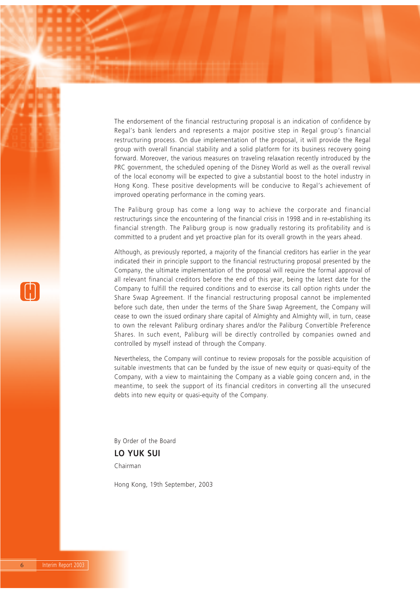The endorsement of the financial restructuring proposal is an indication of confidence by Regal's bank lenders and represents a major positive step in Regal group's financial restructuring process. On due implementation of the proposal, it will provide the Regal group with overall financial stability and a solid platform for its business recovery going forward. Moreover, the various measures on traveling relaxation recently introduced by the PRC government, the scheduled opening of the Disney World as well as the overall revival of the local economy will be expected to give a substantial boost to the hotel industry in Hong Kong. These positive developments will be conducive to Regal's achievement of improved operating performance in the coming years.

The Paliburg group has come a long way to achieve the corporate and financial restructurings since the encountering of the financial crisis in 1998 and in re-establishing its financial strength. The Paliburg group is now gradually restoring its profitability and is committed to a prudent and yet proactive plan for its overall growth in the years ahead.

Although, as previously reported, a majority of the financial creditors has earlier in the year indicated their in principle support to the financial restructuring proposal presented by the Company, the ultimate implementation of the proposal will require the formal approval of all relevant financial creditors before the end of this year, being the latest date for the Company to fulfill the required conditions and to exercise its call option rights under the Share Swap Agreement. If the financial restructuring proposal cannot be implemented before such date, then under the terms of the Share Swap Agreement, the Company will cease to own the issued ordinary share capital of Almighty and Almighty will, in turn, cease to own the relevant Paliburg ordinary shares and/or the Paliburg Convertible Preference Shares. In such event, Paliburg will be directly controlled by companies owned and controlled by myself instead of through the Company.

Nevertheless, the Company will continue to review proposals for the possible acquisition of suitable investments that can be funded by the issue of new equity or quasi-equity of the Company, with a view to maintaining the Company as a viable going concern and, in the meantime, to seek the support of its financial creditors in converting all the unsecured debts into new equity or quasi-equity of the Company.

By Order of the Board

**LO YUK SUI** Chairman

Hong Kong, 19th September, 2003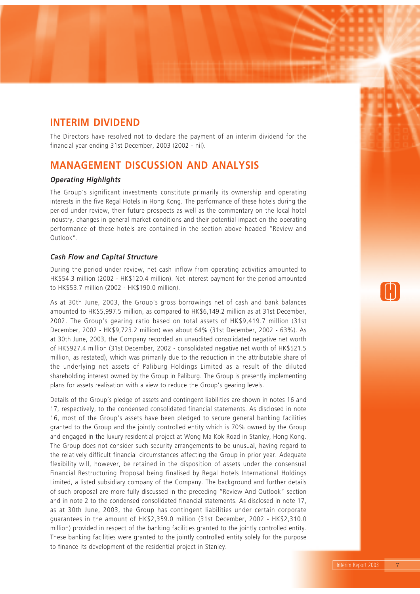# **INTERIM DIVIDEND**

The Directors have resolved not to declare the payment of an interim dividend for the financial year ending 31st December, 2003 (2002 - nil).

## **MANAGEMENT DISCUSSION AND ANALYSIS**

#### *Operating Highlights*

The Group's significant investments constitute primarily its ownership and operating interests in the five Regal Hotels in Hong Kong. The performance of these hotels during the period under review, their future prospects as well as the commentary on the local hotel industry, changes in general market conditions and their potential impact on the operating performance of these hotels are contained in the section above headed "Review and Outlook".

#### *Cash Flow and Capital Structure*

During the period under review, net cash inflow from operating activities amounted to HK\$54.3 million (2002 - HK\$120.4 million). Net interest payment for the period amounted to HK\$53.7 million (2002 - HK\$190.0 million).

As at 30th June, 2003, the Group's gross borrowings net of cash and bank balances amounted to HK\$5,997.5 million, as compared to HK\$6,149.2 million as at 31st December, 2002. The Group's gearing ratio based on total assets of HK\$9,419.7 million (31st December, 2002 - HK\$9,723.2 million) was about 64% (31st December, 2002 - 63%). As at 30th June, 2003, the Company recorded an unaudited consolidated negative net worth of HK\$927.4 million (31st December, 2002 - consolidated negative net worth of HK\$521.5 million, as restated), which was primarily due to the reduction in the attributable share of the underlying net assets of Paliburg Holdings Limited as a result of the diluted shareholding interest owned by the Group in Paliburg. The Group is presently implementing plans for assets realisation with a view to reduce the Group's gearing levels.

Details of the Group's pledge of assets and contingent liabilities are shown in notes 16 and 17, respectively, to the condensed consolidated financial statements. As disclosed in note 16, most of the Group's assets have been pledged to secure general banking facilities granted to the Group and the jointly controlled entity which is 70% owned by the Group and engaged in the luxury residential project at Wong Ma Kok Road in Stanley, Hong Kong. The Group does not consider such security arrangements to be unusual, having regard to the relatively difficult financial circumstances affecting the Group in prior year. Adequate flexibility will, however, be retained in the disposition of assets under the consensual Financial Restructuring Proposal being finalised by Regal Hotels International Holdings Limited, a listed subsidiary company of the Company. The background and further details of such proposal are more fully discussed in the preceding "Review And Outlook" section and in note 2 to the condensed consolidated financial statements. As disclosed in note 17, as at 30th June, 2003, the Group has contingent liabilities under certain corporate guarantees in the amount of HK\$2,359.0 million (31st December, 2002 - HK\$2,310.0 million) provided in respect of the banking facilities granted to the jointly controlled entity. These banking facilities were granted to the jointly controlled entity solely for the purpose to finance its development of the residential project in Stanley.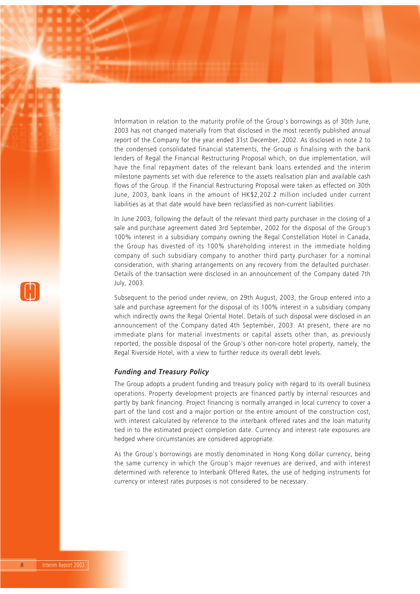Information in relation to the maturity profile of the Group's borrowings as of 30th June, 2003 has not changed materially from that disclosed in the most recently published annual report of the Company for the year ended 31st December, 2002. As disclosed in note 2 to the condensed consolidated financial statements, the Group is finalising with the bank lenders of Regal the Financial Restructuring Proposal which, on due implementation, will have the final repayment dates of the relevant bank loans extended and the interim milestone payments set with due reference to the assets realisation plan and available cash flows of the Group. If the Financial Restructuring Proposal were taken as effected on 30th June, 2003, bank loans in the amount of HK\$2,202.2 million included under current liabilities as at that date would have been reclassified as non-current liabilities.

In June 2003, following the default of the relevant third party purchaser in the closing of a sale and purchase agreement dated 3rd September, 2002 for the disposal of the Group's 100% interest in a subsidiary company owning the Regal Constellation Hotel in Canada, the Group has divested of its 100% shareholding interest in the immediate holding company of such subsidiary company to another third party purchaser for a nominal consideration, with sharing arrangements on any recovery from the defaulted purchaser. Details of the transaction were disclosed in an announcement of the Company dated 7th July, 2003.

Subsequent to the period under review, on 29th August, 2003, the Group entered into a sale and purchase agreement for the disposal of its 100% interest in a subsidiary company which indirectly owns the Regal Oriental Hotel. Details of such disposal were disclosed in an announcement of the Company dated 4th September, 2003. At present, there are no immediate plans for material investments or capital assets other than, as previously reported, the possible disposal of the Group's other non-core hotel property, namely, the Regal Riverside Hotel, with a view to further reduce its overall debt levels.

#### *Funding and Treasury Policy*

The Group adopts a prudent funding and treasury policy with regard to its overall business operations. Property development projects are financed partly by internal resources and partly by bank financing. Project financing is normally arranged in local currency to cover a part of the land cost and a major portion or the entire amount of the construction cost, with interest calculated by reference to the interbank offered rates and the loan maturity tied in to the estimated project completion date. Currency and interest rate exposures are hedged where circumstances are considered appropriate.

As the Group's borrowings are mostly denominated in Hong Kong dollar currency, being the same currency in which the Group's major revenues are derived, and with interest determined with reference to Interbank Offered Rates, the use of hedging instruments for currency or interest rates purposes is not considered to be necessary.